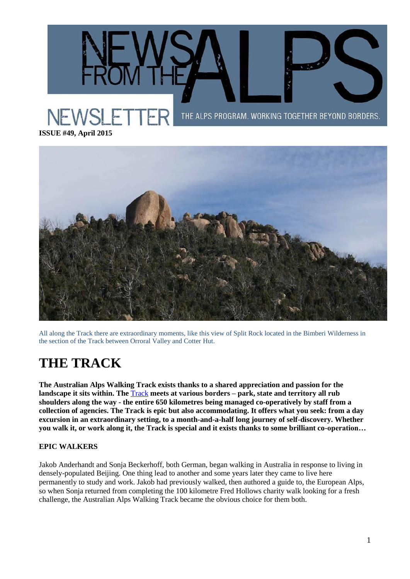THE ALPS PROGRAM. WORKING TOGETHER BEYOND BORDERS.

**ISSUE #49, April 2015**



All along the Track there are extraordinary moments, like this view of Split Rock located in the Bimberi Wilderness in the section of the Track between Orroral Valley and Cotter Hut.

# **THE TRACK**

**The Australian Alps Walking Track exists thanks to a shared appreciation and passion for the landscape it sits within. The** [Track](https://theaustralianalps.wordpress.com/experience/aawt/) **meets at various borders – park, state and territory all rub shoulders along the way - the entire 650 kilometres being managed co-operatively by staff from a collection of agencies. The Track is epic but also accommodating. It offers what you seek: from a day excursion in an extraordinary setting, to a month-and-a-half long journey of self-discovery. Whether you walk it, or work along it, the Track is special and it exists thanks to some brilliant co-operation…**

### **EPIC WALKERS**

Jakob Anderhandt and Sonja Beckerhoff, both German, began walking in Australia in response to living in densely-populated Beijing. One thing lead to another and some years later they came to live here permanently to study and work. Jakob had previously walked, then authored a guide to, the European Alps, so when Sonja returned from completing the 100 kilometre Fred Hollows charity walk looking for a fresh challenge, the Australian Alps Walking Track became the obvious choice for them both.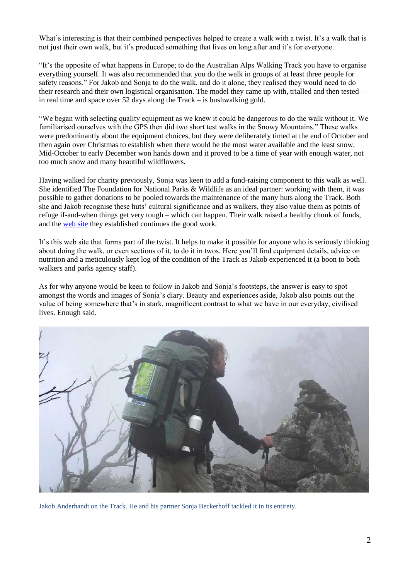What's interesting is that their combined perspectives helped to create a walk with a twist. It's a walk that is not just their own walk, but it's produced something that lives on long after and it's for everyone.

"It's the opposite of what happens in Europe; to do the Australian Alps Walking Track you have to organise everything yourself. It was also recommended that you do the walk in groups of at least three people for safety reasons." For Jakob and Sonja to do the walk, and do it alone, they realised they would need to do their research and their own logistical organisation. The model they came up with, trialled and then tested – in real time and space over 52 days along the Track – is bushwalking gold.

"We began with selecting quality equipment as we knew it could be dangerous to do the walk without it. We familiarised ourselves with the GPS then did two short test walks in the Snowy Mountains." These walks were predominantly about the equipment choices, but they were deliberately timed at the end of October and then again over Christmas to establish when there would be the most water available and the least snow. Mid-October to early December won hands down and it proved to be a time of year with enough water, not too much snow and many beautiful wildflowers.

Having walked for charity previously, Sonja was keen to add a fund-raising component to this walk as well. She identified The Foundation for National Parks & Wildlife as an ideal partner: working with them, it was possible to gather donations to be pooled towards the maintenance of the many huts along the Track. Both she and Jakob recognise these huts' cultural significance and as walkers, they also value them as points of refuge if-and-when things get very tough – which can happen. Their walk raised a healthy chunk of funds, and the [web site](http://www.hikeforhuts.org/) they established continues the good work.

It's this web site that forms part of the twist. It helps to make it possible for anyone who is seriously thinking about doing the walk, or even sections of it, to do it in twos. Here you'll find equipment details, advice on nutrition and a meticulously kept log of the condition of the Track as Jakob experienced it (a boon to both walkers and parks agency staff).

As for why anyone would be keen to follow in Jakob and Sonja's footsteps, the answer is easy to spot amongst the words and images of Sonja's diary. Beauty and experiences aside, Jakob also points out the value of being somewhere that's in stark, magnificent contrast to what we have in our everyday, civilised lives. Enough said.



Jakob Anderhandt on the Track. He and his partner Sonja Beckerhoff tackled it in its entirety.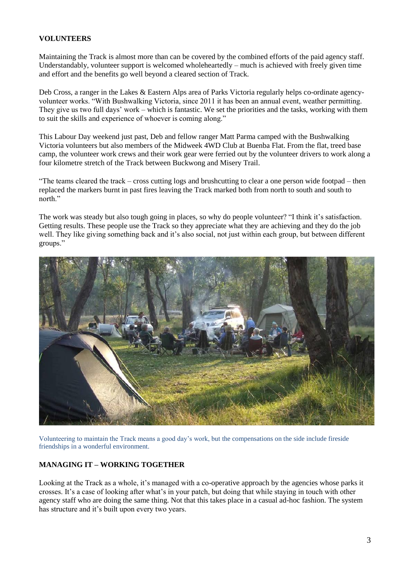#### **VOLUNTEERS**

Maintaining the Track is almost more than can be covered by the combined efforts of the paid agency staff. Understandably, volunteer support is welcomed wholeheartedly – much is achieved with freely given time and effort and the benefits go well beyond a cleared section of Track.

Deb Cross, a ranger in the Lakes & Eastern Alps area of Parks Victoria regularly helps co-ordinate agencyvolunteer works. "With Bushwalking Victoria, since 2011 it has been an annual event, weather permitting. They give us two full days' work – which is fantastic. We set the priorities and the tasks, working with them to suit the skills and experience of whoever is coming along."

This Labour Day weekend just past, Deb and fellow ranger Matt Parma camped with the Bushwalking Victoria volunteers but also members of the Midweek 4WD Club at Buenba Flat. From the flat, treed base camp, the volunteer work crews and their work gear were ferried out by the volunteer drivers to work along a four kilometre stretch of the Track between Buckwong and Misery Trail.

"The teams cleared the track – cross cutting logs and brushcutting to clear a one person wide footpad – then replaced the markers burnt in past fires leaving the Track marked both from north to south and south to north."

The work was steady but also tough going in places, so why do people volunteer? "I think it's satisfaction. Getting results. These people use the Track so they appreciate what they are achieving and they do the job well. They like giving something back and it's also social, not just within each group, but between different groups."



Volunteering to maintain the Track means a good day's work, but the compensations on the side include fireside friendships in a wonderful environment.

### **MANAGING IT – WORKING TOGETHER**

Looking at the Track as a whole, it's managed with a co-operative approach by the agencies whose parks it crosses. It's a case of looking after what's in your patch, but doing that while staying in touch with other agency staff who are doing the same thing. Not that this takes place in a casual ad-hoc fashion. The system has structure and it's built upon every two years.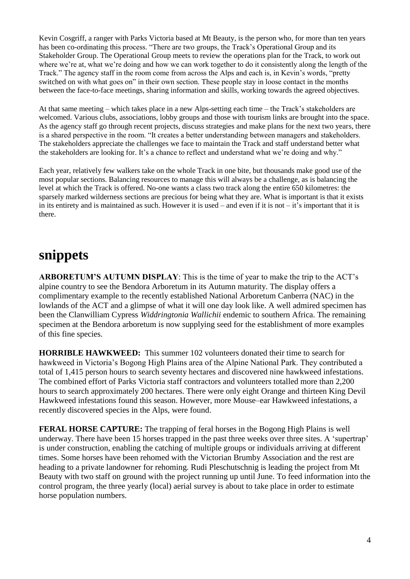Kevin Cosgriff, a ranger with Parks Victoria based at Mt Beauty, is the person who, for more than ten years has been co-ordinating this process. "There are two groups, the Track's Operational Group and its Stakeholder Group. The Operational Group meets to review the operations plan for the Track, to work out where we're at, what we're doing and how we can work together to do it consistently along the length of the Track." The agency staff in the room come from across the Alps and each is, in Kevin's words, "pretty switched on with what goes on" in their own section. These people stay in loose contact in the months between the face-to-face meetings, sharing information and skills, working towards the agreed objectives.

At that same meeting – which takes place in a new Alps-setting each time – the Track's stakeholders are welcomed. Various clubs, associations, lobby groups and those with tourism links are brought into the space. As the agency staff go through recent projects, discuss strategies and make plans for the next two years, there is a shared perspective in the room. "It creates a better understanding between managers and stakeholders. The stakeholders appreciate the challenges we face to maintain the Track and staff understand better what the stakeholders are looking for. It's a chance to reflect and understand what we're doing and why."

Each year, relatively few walkers take on the whole Track in one bite, but thousands make good use of the most popular sections. Balancing resources to manage this will always be a challenge, as is balancing the level at which the Track is offered. No-one wants a class two track along the entire 650 kilometres: the sparsely marked wilderness sections are precious for being what they are. What is important is that it exists in its entirety and is maintained as such. However it is used – and even if it is not – it's important that it is there.

# **snippets**

**ARBORETUM'S AUTUMN DISPLAY**: This is the time of year to make the trip to the ACT's alpine country to see the Bendora Arboretum in its Autumn maturity. The display offers a complimentary example to the recently established National Arboretum Canberra (NAC) in the lowlands of the ACT and a glimpse of what it will one day look like. A well admired specimen has been the Clanwilliam Cypress *Widdringtonia Wallichii* endemic to southern Africa. The remaining specimen at the Bendora arboretum is now supplying seed for the establishment of more examples of this fine species.

**HORRIBLE HAWKWEED:** This summer 102 volunteers donated their time to search for hawkweed in Victoria's Bogong High Plains area of the Alpine National Park. They contributed a total of 1,415 person hours to search seventy hectares and discovered nine hawkweed infestations. The combined effort of Parks Victoria staff contractors and volunteers totalled more than 2,200 hours to search approximately 200 hectares. There were only eight Orange and thirteen King Devil Hawkweed infestations found this season. However, more Mouse–ear Hawkweed infestations, a recently discovered species in the Alps, were found.

**FERAL HORSE CAPTURE:** The trapping of feral horses in the Bogong High Plains is well underway. There have been 15 horses trapped in the past three weeks over three sites. A 'supertrap' is under construction, enabling the catching of multiple groups or individuals arriving at different times. Some horses have been rehomed with the Victorian Brumby Association and the rest are heading to a private landowner for rehoming. Rudi Pleschutschnig is leading the project from Mt Beauty with two staff on ground with the project running up until June. To feed information into the control program, the three yearly (local) aerial survey is about to take place in order to estimate horse population numbers.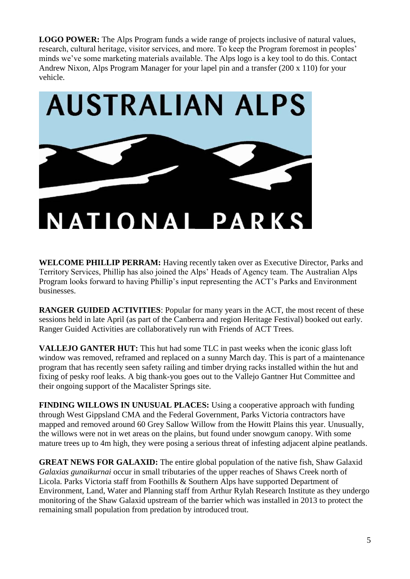**LOGO POWER:** The Alps Program funds a wide range of projects inclusive of natural values, research, cultural heritage, visitor services, and more. To keep the Program foremost in peoples' minds we've some marketing materials available. The Alps logo is a key tool to do this. Contact Andrew Nixon, Alps Program Manager for your lapel pin and a transfer (200 x 110) for your vehicle.



**WELCOME PHILLIP PERRAM:** Having recently taken over as Executive Director, Parks and Territory Services, Phillip has also joined the Alps' Heads of Agency team. The Australian Alps Program looks forward to having Phillip's input representing the ACT's Parks and Environment businesses.

**RANGER GUIDED ACTIVITIES**: Popular for many years in the ACT, the most recent of these sessions held in late April (as part of the Canberra and region Heritage Festival) booked out early. Ranger Guided Activities are collaboratively run with Friends of ACT Trees.

**VALLEJO GANTER HUT:** This hut had some TLC in past weeks when the iconic glass loft window was removed, reframed and replaced on a sunny March day. This is part of a maintenance program that has recently seen safety railing and timber drying racks installed within the hut and fixing of pesky roof leaks. A big thank-you goes out to the Vallejo Gantner Hut Committee and their ongoing support of the Macalister Springs site.

**FINDING WILLOWS IN UNUSUAL PLACES:** Using a cooperative approach with funding through West Gippsland CMA and the Federal Government, Parks Victoria contractors have mapped and removed around 60 Grey Sallow Willow from the Howitt Plains this year. Unusually, the willows were not in wet areas on the plains, but found under snowgum canopy. With some mature trees up to 4m high, they were posing a serious threat of infesting adjacent alpine peatlands.

**GREAT NEWS FOR GALAXID:** The entire global population of the native fish, Shaw Galaxid *Galaxias gunaikurnai* occur in small tributaries of the upper reaches of Shaws Creek north of Licola. Parks Victoria staff from Foothills & Southern Alps have supported Department of Environment, Land, Water and Planning staff from Arthur Rylah Research Institute as they undergo monitoring of the Shaw Galaxid upstream of the barrier which was installed in 2013 to protect the remaining small population from predation by introduced trout.